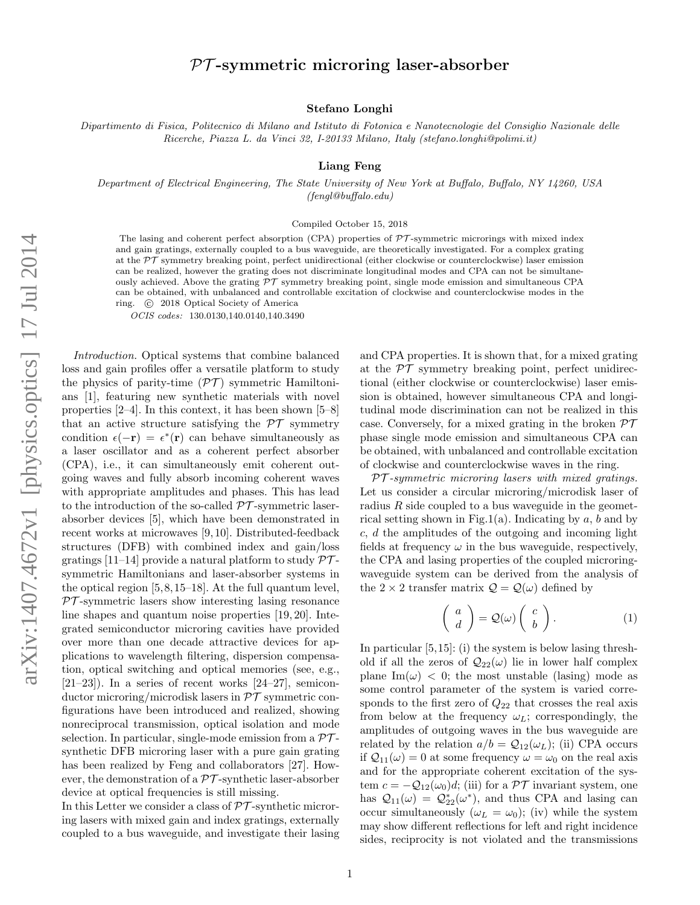# $PT$ -symmetric microring laser-absorber

### Stefano Longhi

Dipartimento di Fisica, Politecnico di Milano and Istituto di Fotonica e Nanotecnologie del Consiglio Nazionale delle Ricerche, Piazza L. da Vinci 32, I-20133 Milano, Italy (stefano.longhi@polimi.it)

Liang Feng

Department of Electrical Engineering, The State University of New York at Buffalo, Buffalo, NY 14260, USA (fengl@buffalo.edu)

#### Compiled October 15, 2018

The lasing and coherent perfect absorption (CPA) properties of  $\mathcal{PT}$ -symmetric microrings with mixed index and gain gratings, externally coupled to a bus waveguide, are theoretically investigated. For a complex grating at the  $PT$  symmetry breaking point, perfect unidirectional (either clockwise or counterclockwise) laser emission can be realized, however the grating does not discriminate longitudinal modes and CPA can not be simultaneously achieved. Above the grating  $\mathcal{PT}$  symmetry breaking point, single mode emission and simultaneous CPA can be obtained, with unbalanced and controllable excitation of clockwise and counterclockwise modes in the ring. (c) 2018 Optical Society of America

OCIS codes: 130.0130,140.0140,140.3490

Introduction. Optical systems that combine balanced loss and gain profiles offer a versatile platform to study the physics of parity-time  $(\mathcal{PT})$  symmetric Hamiltonians [1], featuring new synthetic materials with novel properties [2–4]. In this context, it has been shown [5–8] that an active structure satisfying the  $\mathcal{PT}$  symmetry condition  $\epsilon(-\mathbf{r}) = \epsilon^*(\mathbf{r})$  can behave simultaneously as a laser oscillator and as a coherent perfect absorber (CPA), i.e., it can simultaneously emit coherent outgoing waves and fully absorb incoming coherent waves with appropriate amplitudes and phases. This has lead to the introduction of the so-called  $\mathcal{PT}$ -symmetric laserabsorber devices [5], which have been demonstrated in recent works at microwaves [9, 10]. Distributed-feedback structures (DFB) with combined index and gain/loss gratings [11–14] provide a natural platform to study  $\mathcal{PT}$ symmetric Hamiltonians and laser-absorber systems in the optical region [5,8,15–18]. At the full quantum level,  $PT$ -symmetric lasers show interesting lasing resonance line shapes and quantum noise properties [19, 20]. Integrated semiconductor microring cavities have provided over more than one decade attractive devices for applications to wavelength filtering, dispersion compensation, optical switching and optical memories (see, e.g.,  $[21-23]$ ). In a series of recent works  $[24-27]$ , semiconductor microring/microdisk lasers in  $\mathcal{PT}$  symmetric configurations have been introduced and realized, showing nonreciprocal transmission, optical isolation and mode selection. In particular, single-mode emission from a  $\mathcal{PT}$ synthetic DFB microring laser with a pure gain grating has been realized by Feng and collaborators [27]. However, the demonstration of a  $\mathcal{PT}$ -synthetic laser-absorber device at optical frequencies is still missing.

In this Letter we consider a class of  $\mathcal{PT}$ -synthetic microring lasers with mixed gain and index gratings, externally coupled to a bus waveguide, and investigate their lasing and CPA properties. It is shown that, for a mixed grating at the  $\mathcal{PT}$  symmetry breaking point, perfect unidirectional (either clockwise or counterclockwise) laser emission is obtained, however simultaneous CPA and longitudinal mode discrimination can not be realized in this case. Conversely, for a mixed grating in the broken  $\mathcal{PT}$ phase single mode emission and simultaneous CPA can be obtained, with unbalanced and controllable excitation of clockwise and counterclockwise waves in the ring.

 $PT$ -symmetric microring lasers with mixed gratings. Let us consider a circular microring/microdisk laser of radius  $R$  side coupled to a bus waveguide in the geometrical setting shown in Fig.1(a). Indicating by a, b and by  $c, d$  the amplitudes of the outgoing and incoming light fields at frequency  $\omega$  in the bus waveguide, respectively, the CPA and lasing properties of the coupled microringwaveguide system can be derived from the analysis of the  $2 \times 2$  transfer matrix  $\mathcal{Q} = \mathcal{Q}(\omega)$  defined by

$$
\left(\begin{array}{c}a\\d\end{array}\right) = \mathcal{Q}(\omega) \left(\begin{array}{c}c\\b\end{array}\right). \tag{1}
$$

In particular [5,15]: (i) the system is below lasing threshold if all the zeros of  $\mathcal{Q}_{22}(\omega)$  lie in lower half complex plane Im( $\omega$ ) < 0; the most unstable (lasing) mode as some control parameter of the system is varied corresponds to the first zero of  $Q_{22}$  that crosses the real axis from below at the frequency  $\omega_L$ ; correspondingly, the amplitudes of outgoing waves in the bus waveguide are related by the relation  $a/b = Q_{12}(\omega_L)$ ; (ii) CPA occurs if  $\mathcal{Q}_{11}(\omega) = 0$  at some frequency  $\omega = \omega_0$  on the real axis and for the appropriate coherent excitation of the system  $c = -Q_{12}(\omega_0)d$ ; (iii) for a PT invariant system, one has  $Q_{11}(\omega) = Q_{22}^*(\omega^*),$  and thus CPA and lasing can occur simultaneously  $(\omega_L = \omega_0)$ ; (iv) while the system may show different reflections for left and right incidence sides, reciprocity is not violated and the transmissions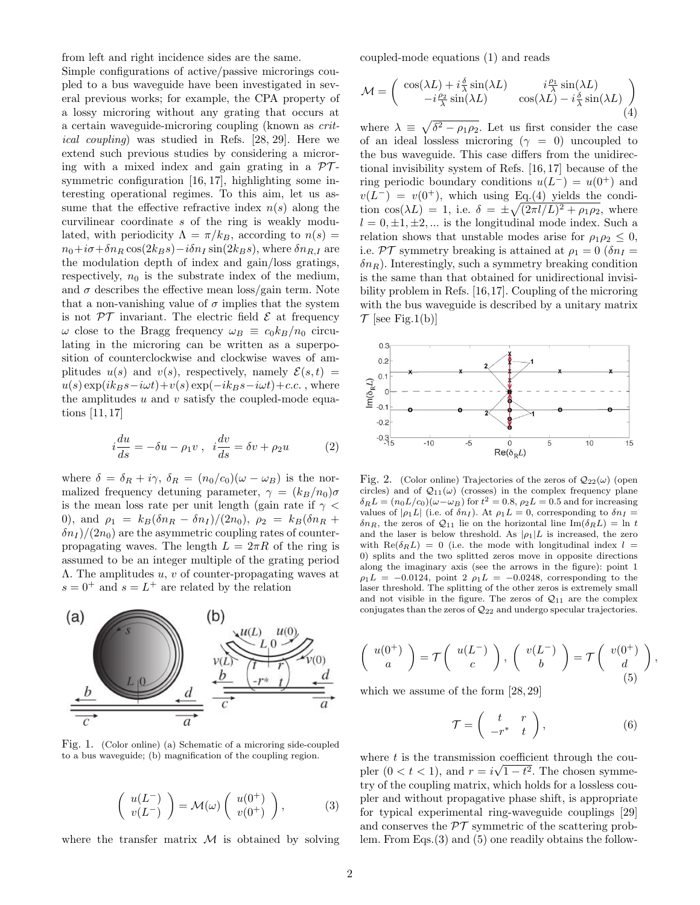from left and right incidence sides are the same.

Simple configurations of active/passive microrings coupled to a bus waveguide have been investigated in several previous works; for example, the CPA property of a lossy microring without any grating that occurs at a certain waveguide-microring coupling (known as critical coupling) was studied in Refs. [28, 29]. Here we extend such previous studies by considering a microring with a mixed index and gain grating in a  $\mathcal{PT}$ symmetric configuration [16, 17], highlighting some interesting operational regimes. To this aim, let us assume that the effective refractive index  $n(s)$  along the curvilinear coordinate s of the ring is weakly modulated, with periodicity  $\Lambda = \pi/k_B$ , according to  $n(s) =$  $n_0+i\sigma+\delta n_R \cos(2k_B s)-i\delta n_I \sin(2k_B s)$ , where  $\delta n_{R,I}$  are the modulation depth of index and gain/loss gratings, respectively,  $n_0$  is the substrate index of the medium, and  $\sigma$  describes the effective mean loss/gain term. Note that a non-vanishing value of  $\sigma$  implies that the system is not  $\mathcal{PT}$  invariant. The electric field  $\mathcal E$  at frequency  $\omega$  close to the Bragg frequency  $\omega_B \equiv c_0 k_B/n_0$  circulating in the microring can be written as a superposition of counterclockwise and clockwise waves of amplitudes  $u(s)$  and  $v(s)$ , respectively, namely  $\mathcal{E}(s,t)$  =  $u(s) \exp(ik_Bs-i\omega t)+v(s) \exp(-ik_Bs-i\omega t)+c.c.$ , where the amplitudes  $u$  and  $v$  satisfy the coupled-mode equations [11, 17]

$$
i\frac{du}{ds} = -\delta u - \rho_1 v \ , \ \ i\frac{dv}{ds} = \delta v + \rho_2 u \tag{2}
$$

where  $\delta = \delta_R + i\gamma$ ,  $\delta_R = (n_0/c_0)(\omega - \omega_B)$  is the normalized frequency detuning parameter,  $\gamma = (k_B/n_0)\sigma$ is the mean loss rate per unit length (gain rate if  $\gamma$  < 0), and  $\rho_1 = k_B(\delta n_R - \delta n_I)/(2n_0)$ ,  $\rho_2 = k_B(\delta n_R +$  $\delta n_I$  /(2n<sub>0</sub>) are the asymmetric coupling rates of counterpropagating waves. The length  $L = 2\pi R$  of the ring is assumed to be an integer multiple of the grating period Λ. The amplitudes u, v of counter-propagating waves at  $s = 0^+$  and  $s = L^+$  are related by the relation



Fig. 1. (Color online) (a) Schematic of a microring side-coupled to a bus waveguide; (b) magnification of the coupling region.

$$
\begin{pmatrix} u(L^-) \\ v(L^-) \end{pmatrix} = \mathcal{M}(\omega) \begin{pmatrix} u(0^+) \\ v(0^+) \end{pmatrix}, \tag{3}
$$

where the transfer matrix  $M$  is obtained by solving

coupled-mode equations (1) and reads

$$
\mathcal{M} = \begin{pmatrix} \cos(\lambda L) + i\frac{\delta}{\lambda}\sin(\lambda L) & i\frac{\rho_1}{\lambda}\sin(\lambda L) \\ -i\frac{\rho_2}{\lambda}\sin(\lambda L) & \cos(\lambda L) - i\frac{\delta}{\lambda}\sin(\lambda L) \\ \hline \end{pmatrix}
$$
(4)

where  $\lambda \equiv \sqrt{\delta^2 - \rho_1 \rho_2}$ . Let us first consider the case of an ideal lossless microring ( $\gamma = 0$ ) uncoupled to the bus waveguide. This case differs from the unidirectional invisibility system of Refs. [16, 17] because of the ring periodic boundary conditions  $u(L^-) = u(0^+)$  and  $v(L^-) = v(0^+),$  which using Eq.(4) yields the condition  $\cos(\lambda L) = 1$ , i.e.  $\delta = \pm \sqrt{(2\pi l/L)^2 + \rho_1 \rho_2}$ , where  $l = 0, \pm 1, \pm 2, \dots$  is the longitudinal mode index. Such a relation shows that unstable modes arise for  $\rho_1 \rho_2 \leq 0$ , i.e. PT symmetry breaking is attained at  $\rho_1 = 0$  ( $\delta n_I =$  $\delta n_R$ ). Interestingly, such a symmetry breaking condition is the same than that obtained for unidirectional invisibility problem in Refs. [16,17]. Coupling of the microring with the bus waveguide is described by a unitary matrix  $\mathcal{T}$  [see Fig.1(b)]



Fig. 2. (Color online) Trajectories of the zeros of  $\mathcal{Q}_{22}(\omega)$  (open circles) and of  $Q_{11}(\omega)$  (crosses) in the complex frequency plane  $\delta_R L = (n_0 L/c_0)(\omega - \omega_B)$  for  $t^2 = 0.8$ ,  $\rho_2 L = 0.5$  and for increasing values of  $|\rho_1 L|$  (i.e. of  $\delta n_I$ ). At  $\rho_1 L = 0$ , corresponding to  $\delta n_I =$  $\delta n_R$ , the zeros of  $\mathcal{Q}_{11}$  lie on the horizontal line Im $(\delta_R L) = \ln t$ and the laser is below threshold. As  $|\rho_1|L$  is increased, the zero with  $\text{Re}(\delta_R L) = 0$  (i.e. the mode with longitudinal index  $l =$ 0) splits and the two splitted zeros move in opposite directions along the imaginary axis (see the arrows in the figure): point 1  $\rho_1L = -0.0124$ , point 2  $\rho_1L = -0.0248$ , corresponding to the laser threshold. The splitting of the other zeros is extremely small and not visible in the figure. The zeros of  $\mathcal{Q}_{11}$  are the complex conjugates than the zeros of  $\mathcal{Q}_{22}$  and undergo specular trajectories.

$$
\left(\begin{array}{c}u(0^+)\\a\end{array}\right)=\mathcal{T}\left(\begin{array}{c}u(L^-)\\c\end{array}\right),\ \left(\begin{array}{c}v(L^-)\\b\end{array}\right)=\mathcal{T}\left(\begin{array}{c}v(0^+)\\d\end{array}\right),\tag{5}
$$

which we assume of the form [28, 29]

$$
\mathcal{T} = \left( \begin{array}{cc} t & r \\ -r^* & t \end{array} \right),\tag{6}
$$

where t is the transmission coefficient through the coupler  $(0 < t < 1)$ , and  $r = i\sqrt{1-t^2}$ . The chosen symmetry of the coupling matrix, which holds for a lossless coupler and without propagative phase shift, is appropriate for typical experimental ring-waveguide couplings [29] and conserves the  $\mathcal{PT}$  symmetric of the scattering problem. From Eqs.(3) and (5) one readily obtains the follow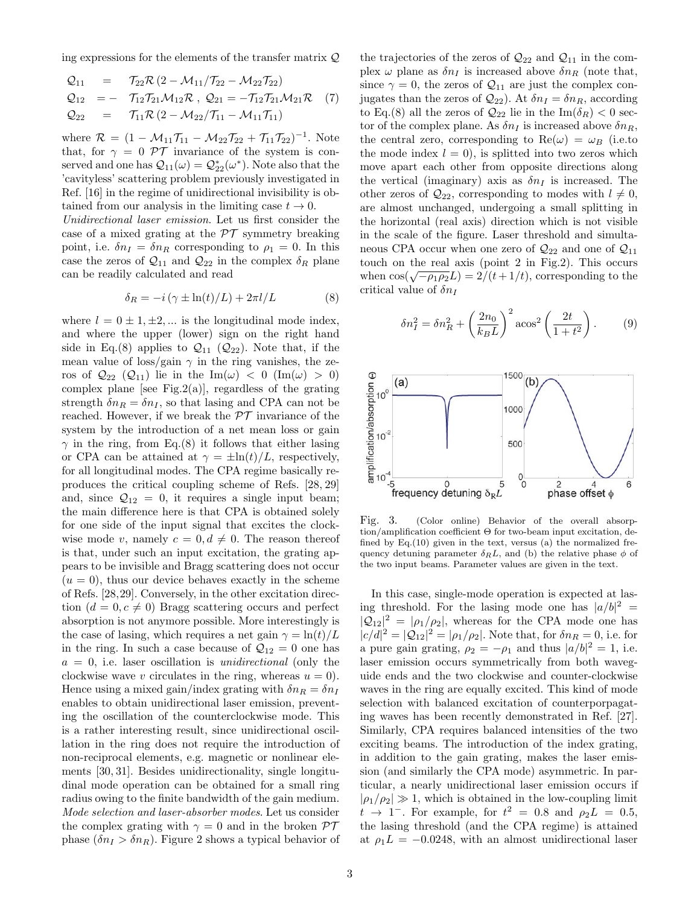ing expressions for the elements of the transfer matrix Q

$$
Q_{11} = \tau_{22} \mathcal{R} (2 - \mathcal{M}_{11} / \mathcal{T}_{22} - \mathcal{M}_{22} \mathcal{T}_{22})
$$
  
\n
$$
Q_{12} = -\tau_{12} \mathcal{T}_{21} \mathcal{M}_{12} \mathcal{R}, Q_{21} = -\mathcal{T}_{12} \mathcal{T}_{21} \mathcal{M}_{21} \mathcal{R} (7)
$$
  
\n
$$
Q_{22} = \tau_{11} \mathcal{R} (2 - \mathcal{M}_{22} / \mathcal{T}_{11} - \mathcal{M}_{11} \mathcal{T}_{11})
$$

where  $\mathcal{R} = (1 - \mathcal{M}_{11} \mathcal{T}_{11} - \mathcal{M}_{22} \mathcal{T}_{22} + \mathcal{T}_{11} \mathcal{T}_{22})^{-1}$ . Note that, for  $\gamma = 0$  PT invariance of the system is conserved and one has  $\mathcal{Q}_{11}(\omega) = \mathcal{Q}_{22}^*(\omega^*)$ . Note also that the 'cavityless' scattering problem previously investigated in Ref. [16] in the regime of unidirectional invisibility is obtained from our analysis in the limiting case  $t \to 0$ .

Unidirectional laser emission. Let us first consider the case of a mixed grating at the  $\mathcal{PT}$  symmetry breaking point, i.e.  $\delta n_I = \delta n_R$  corresponding to  $\rho_1 = 0$ . In this case the zeros of  $\mathcal{Q}_{11}$  and  $\mathcal{Q}_{22}$  in the complex  $\delta_R$  plane can be readily calculated and read

$$
\delta_R = -i(\gamma \pm \ln(t)/L) + 2\pi l/L \tag{8}
$$

where  $l = 0 \pm 1, \pm 2, \dots$  is the longitudinal mode index, and where the upper (lower) sign on the right hand side in Eq.(8) applies to  $\mathcal{Q}_{11}$  ( $\mathcal{Q}_{22}$ ). Note that, if the mean value of loss/gain  $\gamma$  in the ring vanishes, the zeros of  $\mathcal{Q}_{22}$   $(\mathcal{Q}_{11})$  lie in the Im( $\omega$ ) < 0 (Im( $\omega$ ) > 0) complex plane [see Fig.2(a)], regardless of the grating strength  $\delta n_R = \delta n_I$ , so that lasing and CPA can not be reached. However, if we break the  $\mathcal{PT}$  invariance of the system by the introduction of a net mean loss or gain  $\gamma$  in the ring, from Eq.(8) it follows that either lasing or CPA can be attained at  $\gamma = \pm \ln(t)/L$ , respectively, for all longitudinal modes. The CPA regime basically reproduces the critical coupling scheme of Refs. [28, 29] and, since  $\mathcal{Q}_{12} = 0$ , it requires a single input beam; the main difference here is that CPA is obtained solely for one side of the input signal that excites the clockwise mode v, namely  $c = 0, d \neq 0$ . The reason thereof is that, under such an input excitation, the grating appears to be invisible and Bragg scattering does not occur  $(u = 0)$ , thus our device behaves exactly in the scheme of Refs. [28,29]. Conversely, in the other excitation direction  $(d = 0, c \neq 0)$  Bragg scattering occurs and perfect absorption is not anymore possible. More interestingly is the case of lasing, which requires a net gain  $\gamma = \ln(t)/L$ in the ring. In such a case because of  $\mathcal{Q}_{12} = 0$  one has  $a = 0$ , i.e. laser oscillation is *unidirectional* (only the clockwise wave v circulates in the ring, whereas  $u = 0$ ). Hence using a mixed gain/index grating with  $\delta n_R = \delta n_I$ enables to obtain unidirectional laser emission, preventing the oscillation of the counterclockwise mode. This is a rather interesting result, since unidirectional oscillation in the ring does not require the introduction of non-reciprocal elements, e.g. magnetic or nonlinear elements [30, 31]. Besides unidirectionality, single longitudinal mode operation can be obtained for a small ring radius owing to the finite bandwidth of the gain medium. Mode selection and laser-absorber modes. Let us consider the complex grating with  $\gamma = 0$  and in the broken  $\mathcal{PT}$ phase  $(\delta n_I > \delta n_R)$ . Figure 2 shows a typical behavior of the trajectories of the zeros of  $\mathcal{Q}_{22}$  and  $\mathcal{Q}_{11}$  in the complex  $\omega$  plane as  $\delta n_I$  is increased above  $\delta n_R$  (note that, since  $\gamma = 0$ , the zeros of  $\mathcal{Q}_{11}$  are just the complex conjugates than the zeros of  $\mathcal{Q}_{22}$ ). At  $\delta n_I = \delta n_R$ , according to Eq.(8) all the zeros of  $\mathcal{Q}_{22}$  lie in the Im( $\delta_R$ ) < 0 sector of the complex plane. As  $\delta n_I$  is increased above  $\delta n_R$ , the central zero, corresponding to  $\text{Re}(\omega) = \omega_B$  (i.e.to the mode index  $l = 0$ , is splitted into two zeros which move apart each other from opposite directions along the vertical (imaginary) axis as  $\delta n_I$  is increased. The other zeros of  $\mathcal{Q}_{22}$ , corresponding to modes with  $l \neq 0$ , are almost unchanged, undergoing a small splitting in the horizontal (real axis) direction which is not visible in the scale of the figure. Laser threshold and simultaneous CPA occur when one zero of  $\mathcal{Q}_{22}$  and one of  $\mathcal{Q}_{11}$ touch on the real axis (point 2 in Fig.2). This occurs when  $\cos(\sqrt{-\rho_1\rho_2}L) = 2/(t+1/t)$ , corresponding to the critical value of  $\delta n_I$ 

$$
\delta n_I^2 = \delta n_R^2 + \left(\frac{2n_0}{k_B L}\right)^2 \arccos^2 \left(\frac{2t}{1+t^2}\right). \tag{9}
$$



Fig. 3. (Color online) Behavior of the overall absorption/amplification coefficient Θ for two-beam input excitation, defined by  $Eq.(10)$  given in the text, versus (a) the normalized frequency detuning parameter  $\delta_R L$ , and (b) the relative phase  $\phi$  of the two input beams. Parameter values are given in the text.

In this case, single-mode operation is expected at lasing threshold. For the lasing mode one has  $|a/b|^2$  =  $|Q_{12}|^2 = |\rho_1/\rho_2|$ , whereas for the CPA mode one has  $|c/d|^2 = |\mathcal{Q}_{12}|^2 = |\rho_1/\rho_2|$ . Note that, for  $\delta n_R = 0$ , i.e. for a pure gain grating,  $\rho_2 = -\rho_1$  and thus  $|a/b|^2 = 1$ , i.e. laser emission occurs symmetrically from both waveguide ends and the two clockwise and counter-clockwise waves in the ring are equally excited. This kind of mode selection with balanced excitation of counterporpagating waves has been recently demonstrated in Ref. [27]. Similarly, CPA requires balanced intensities of the two exciting beams. The introduction of the index grating, in addition to the gain grating, makes the laser emission (and similarly the CPA mode) asymmetric. In particular, a nearly unidirectional laser emission occurs if  $|\rho_1/\rho_2| \gg 1$ , which is obtained in the low-coupling limit  $t \rightarrow 1^-$ . For example, for  $t^2 = 0.8$  and  $\rho_2 L = 0.5$ , the lasing threshold (and the CPA regime) is attained at  $\rho_1 L = -0.0248$ , with an almost unidirectional laser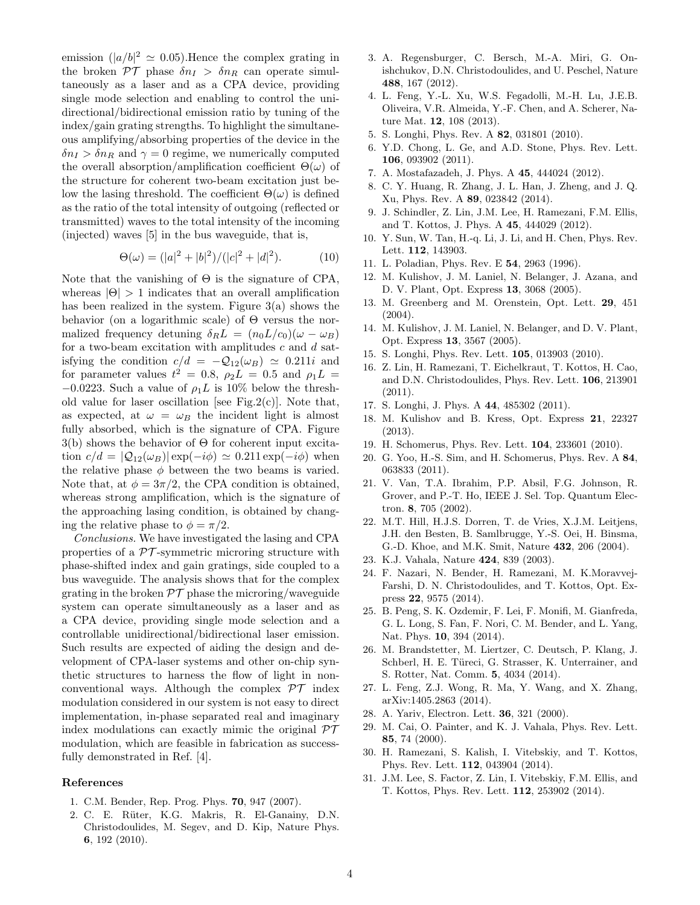emission  $(|a/b|^2 \approx 0.05)$ . Hence the complex grating in the broken  $\mathcal{PT}$  phase  $\delta n_I > \delta n_R$  can operate simultaneously as a laser and as a CPA device, providing single mode selection and enabling to control the unidirectional/bidirectional emission ratio by tuning of the index/gain grating strengths. To highlight the simultaneous amplifying/absorbing properties of the device in the  $\delta n_I > \delta n_R$  and  $\gamma = 0$  regime, we numerically computed the overall absorption/amplification coefficient  $\Theta(\omega)$  of the structure for coherent two-beam excitation just below the lasing threshold. The coefficient  $\Theta(\omega)$  is defined as the ratio of the total intensity of outgoing (reflected or transmitted) waves to the total intensity of the incoming (injected) waves [5] in the bus waveguide, that is,

$$
\Theta(\omega) = (|a|^2 + |b|^2) / (|c|^2 + |d|^2). \tag{10}
$$

Note that the vanishing of  $\Theta$  is the signature of CPA, whereas  $|\Theta| > 1$  indicates that an overall amplification has been realized in the system. Figure 3(a) shows the behavior (on a logarithmic scale) of Θ versus the normalized frequency detuning  $\delta_R L = (n_0 L/c_0)(\omega - \omega_B)$ for a two-beam excitation with amplitudes  $c$  and  $d$  satisfying the condition  $c/d = -Q_{12}(\omega_B) \approx 0.211i$  and for parameter values  $t^2 = 0.8$ ,  $\rho_2 L = 0.5$  and  $\rho_1 L =$  $-0.0223$ . Such a value of  $\rho_1 L$  is 10% below the threshold value for laser oscillation [see Fig.2(c)]. Note that, as expected, at  $\omega = \omega_B$  the incident light is almost fully absorbed, which is the signature of CPA. Figure  $3(b)$  shows the behavior of  $\Theta$  for coherent input excitation  $c/d = |\mathcal{Q}_{12}(\omega_B)| \exp(-i\phi) \simeq 0.211 \exp(-i\phi)$  when the relative phase  $\phi$  between the two beams is varied. Note that, at  $\phi = 3\pi/2$ , the CPA condition is obtained, whereas strong amplification, which is the signature of the approaching lasing condition, is obtained by changing the relative phase to  $\phi = \pi/2$ .

Conclusions. We have investigated the lasing and CPA properties of a  $\mathcal{PT}$ -symmetric microring structure with phase-shifted index and gain gratings, side coupled to a bus waveguide. The analysis shows that for the complex grating in the broken  $\mathcal{PT}$  phase the microring/waveguide system can operate simultaneously as a laser and as a CPA device, providing single mode selection and a controllable unidirectional/bidirectional laser emission. Such results are expected of aiding the design and development of CPA-laser systems and other on-chip synthetic structures to harness the flow of light in nonconventional ways. Although the complex  $\mathcal{PT}$  index modulation considered in our system is not easy to direct implementation, in-phase separated real and imaginary index modulations can exactly mimic the original  $\mathcal{PT}$ modulation, which are feasible in fabrication as successfully demonstrated in Ref. [4].

## References

- 1. C.M. Bender, Rep. Prog. Phys. 70, 947 (2007).
- 2. C. E. Rüter, K.G. Makris, R. El-Ganainy, D.N. Christodoulides, M. Segev, and D. Kip, Nature Phys. 6, 192 (2010).
- 3. A. Regensburger, C. Bersch, M.-A. Miri, G. Onishchukov, D.N. Christodoulides, and U. Peschel, Nature 488, 167 (2012).
- 4. L. Feng, Y.-L. Xu, W.S. Fegadolli, M.-H. Lu, J.E.B. Oliveira, V.R. Almeida, Y.-F. Chen, and A. Scherer, Nature Mat. 12, 108 (2013).
- 5. S. Longhi, Phys. Rev. A 82, 031801 (2010).
- 6. Y.D. Chong, L. Ge, and A.D. Stone, Phys. Rev. Lett. 106, 093902 (2011).
- 7. A. Mostafazadeh, J. Phys. A 45, 444024 (2012).
- 8. C. Y. Huang, R. Zhang, J. L. Han, J. Zheng, and J. Q. Xu, Phys. Rev. A 89, 023842 (2014).
- 9. J. Schindler, Z. Lin, J.M. Lee, H. Ramezani, F.M. Ellis, and T. Kottos, J. Phys. A 45, 444029 (2012).
- 10. Y. Sun, W. Tan, H.-q. Li, J. Li, and H. Chen, Phys. Rev. Lett. 112, 143903.
- 11. L. Poladian, Phys. Rev. E 54, 2963 (1996).
- 12. M. Kulishov, J. M. Laniel, N. Belanger, J. Azana, and D. V. Plant, Opt. Express 13, 3068 (2005).
- 13. M. Greenberg and M. Orenstein, Opt. Lett. 29, 451 (2004).
- 14. M. Kulishov, J. M. Laniel, N. Belanger, and D. V. Plant, Opt. Express 13, 3567 (2005).
- 15. S. Longhi, Phys. Rev. Lett. 105, 013903 (2010).
- 16. Z. Lin, H. Ramezani, T. Eichelkraut, T. Kottos, H. Cao, and D.N. Christodoulides, Phys. Rev. Lett. 106, 213901 (2011).
- 17. S. Longhi, J. Phys. A 44, 485302 (2011).
- 18. M. Kulishov and B. Kress, Opt. Express 21, 22327 (2013).
- 19. H. Schomerus, Phys. Rev. Lett. 104, 233601 (2010).
- 20. G. Yoo, H.-S. Sim, and H. Schomerus, Phys. Rev. A 84, 063833 (2011).
- 21. V. Van, T.A. Ibrahim, P.P. Absil, F.G. Johnson, R. Grover, and P.-T. Ho, IEEE J. Sel. Top. Quantum Electron. 8, 705 (2002).
- 22. M.T. Hill, H.J.S. Dorren, T. de Vries, X.J.M. Leitjens, J.H. den Besten, B. Samlbrugge, Y.-S. Oei, H. Binsma, G.-D. Khoe, and M.K. Smit, Nature 432, 206 (2004).
- 23. K.J. Vahala, Nature 424, 839 (2003).
- 24. F. Nazari, N. Bender, H. Ramezani, M. K.Moravvej-Farshi, D. N. Christodoulides, and T. Kottos, Opt. Express 22, 9575 (2014).
- 25. B. Peng, S. K. Ozdemir, F. Lei, F. Monifi, M. Gianfreda, G. L. Long, S. Fan, F. Nori, C. M. Bender, and L. Yang, Nat. Phys. 10, 394 (2014).
- 26. M. Brandstetter, M. Liertzer, C. Deutsch, P. Klang, J. Schberl, H. E. Türeci, G. Strasser, K. Unterrainer, and S. Rotter, Nat. Comm. 5, 4034 (2014).
- 27. L. Feng, Z.J. Wong, R. Ma, Y. Wang, and X. Zhang, arXiv:1405.2863 (2014).
- 28. A. Yariv, Electron. Lett. 36, 321 (2000).
- 29. M. Cai, O. Painter, and K. J. Vahala, Phys. Rev. Lett. 85, 74 (2000).
- 30. H. Ramezani, S. Kalish, I. Vitebskiy, and T. Kottos, Phys. Rev. Lett. 112, 043904 (2014).
- 31. J.M. Lee, S. Factor, Z. Lin, I. Vitebskiy, F.M. Ellis, and T. Kottos, Phys. Rev. Lett. 112, 253902 (2014).